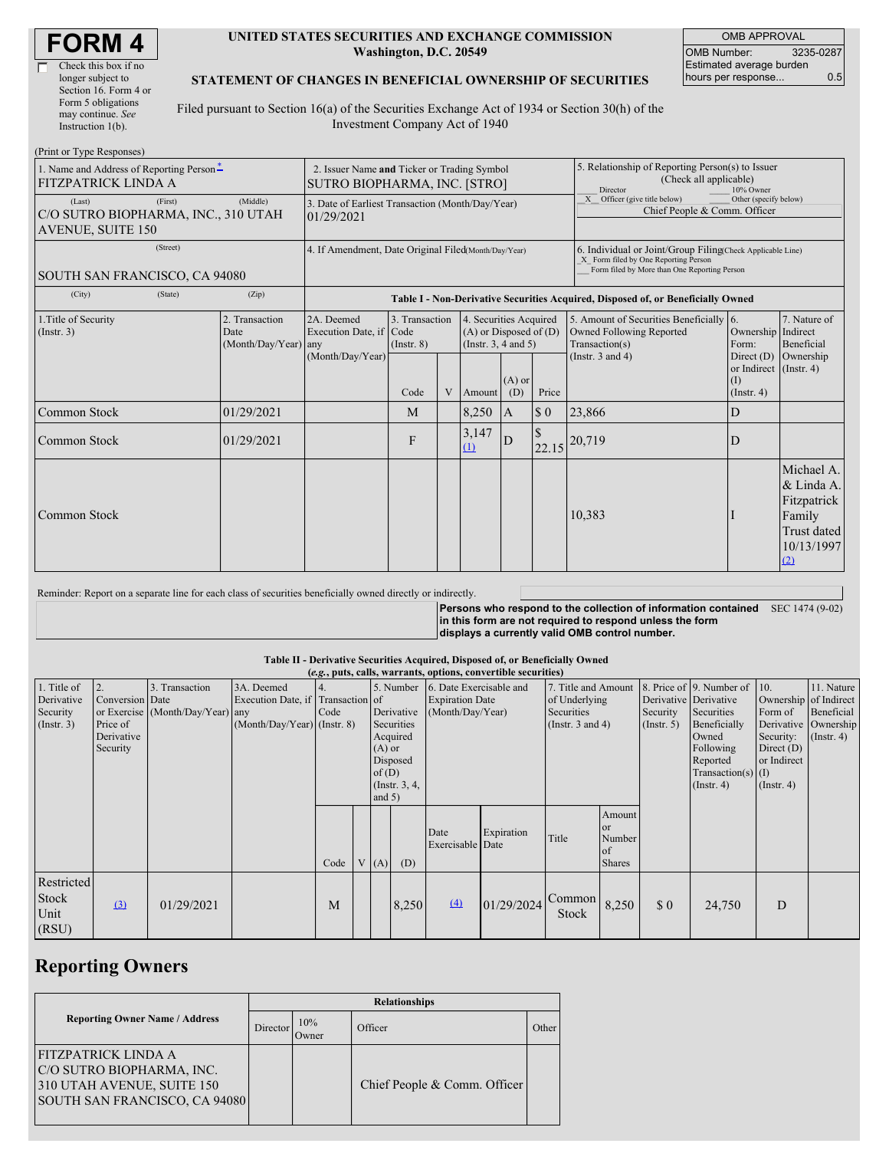| <b>FORM4</b> |
|--------------|
|--------------|

| Check this box if no  |
|-----------------------|
| longer subject to     |
| Section 16. Form 4 or |
| Form 5 obligations    |
| may continue. See     |
| Instruction $1(b)$ .  |
|                       |

#### **UNITED STATES SECURITIES AND EXCHANGE COMMISSION Washington, D.C. 20549**

OMB APPROVAL OMB Number: 3235-0287 Estimated average burden hours per response... 0.5

### **STATEMENT OF CHANGES IN BENEFICIAL OWNERSHIP OF SECURITIES**

Filed pursuant to Section 16(a) of the Securities Exchange Act of 1934 or Section 30(h) of the Investment Company Act of 1940

| (Print or Type Responses)                                                            |                                                                                  |                                                           |                                   |   |                                                                                  |                 |                                                                                                                                                    |                                                                                       |                                                                   |                                                                                       |
|--------------------------------------------------------------------------------------|----------------------------------------------------------------------------------|-----------------------------------------------------------|-----------------------------------|---|----------------------------------------------------------------------------------|-----------------|----------------------------------------------------------------------------------------------------------------------------------------------------|---------------------------------------------------------------------------------------|-------------------------------------------------------------------|---------------------------------------------------------------------------------------|
| 1. Name and Address of Reporting Person <sup>*</sup><br><b>FITZPATRICK LINDA A</b>   | 2. Issuer Name and Ticker or Trading Symbol<br>SUTRO BIOPHARMA, INC. [STRO]      |                                                           |                                   |   |                                                                                  |                 | 5. Relationship of Reporting Person(s) to Issuer<br>(Check all applicable)<br>Director<br>10% Owner                                                |                                                                                       |                                                                   |                                                                                       |
| (First)<br>(Last)<br>C/O SUTRO BIOPHARMA, INC., 310 UTAH<br><b>AVENUE, SUITE 150</b> | 3. Date of Earliest Transaction (Month/Day/Year)<br>01/29/2021                   |                                                           |                                   |   |                                                                                  |                 | X Officer (give title below)<br>Other (specify below)<br>Chief People & Comm. Officer                                                              |                                                                                       |                                                                   |                                                                                       |
| (Street)<br>SOUTH SAN FRANCISCO, CA 94080                                            | 4. If Amendment, Date Original Filed(Month/Day/Year)                             |                                                           |                                   |   |                                                                                  |                 | 6. Individual or Joint/Group Filing(Check Applicable Line)<br>X Form filed by One Reporting Person<br>Form filed by More than One Reporting Person |                                                                                       |                                                                   |                                                                                       |
| (State)<br>(City)                                                                    | Table I - Non-Derivative Securities Acquired, Disposed of, or Beneficially Owned |                                                           |                                   |   |                                                                                  |                 |                                                                                                                                                    |                                                                                       |                                                                   |                                                                                       |
| 1. Title of Security<br>(Insert. 3)                                                  | 2. Transaction<br>Date<br>(Month/Day/Year) any                                   | 2A. Deemed<br>Execution Date, if Code<br>(Month/Day/Year) | 3. Transaction<br>$($ Instr. $8)$ |   | 4. Securities Acquired<br>$(A)$ or Disposed of $(D)$<br>(Instr. $3, 4$ and $5$ ) |                 |                                                                                                                                                    | 5. Amount of Securities Beneficially 6.<br>Owned Following Reported<br>Transaction(s) | Ownership Indirect<br>Form:                                       | 7. Nature of<br>Beneficial                                                            |
|                                                                                      |                                                                                  |                                                           | Code                              | V | Amount                                                                           | $(A)$ or<br>(D) | Price                                                                                                                                              | (Instr. $3$ and $4$ )                                                                 | Direct $(D)$<br>or Indirect (Instr. 4)<br>(I)<br>$($ Instr. 4 $)$ | Ownership                                                                             |
| <b>Common Stock</b>                                                                  | 01/29/2021                                                                       |                                                           | M                                 |   | 8,250                                                                            | $\overline{A}$  | $\boldsymbol{\mathsf{S}}$ 0                                                                                                                        | 23,866                                                                                | $\mathbf{D}$                                                      |                                                                                       |
| Common Stock                                                                         | 01/29/2021                                                                       |                                                           | F                                 |   | 3,147<br>(1)                                                                     | D               |                                                                                                                                                    | $ 22.15 ^{20,719}$                                                                    | $\mathbf D$                                                       |                                                                                       |
| Common Stock                                                                         |                                                                                  |                                                           |                                   |   |                                                                                  |                 |                                                                                                                                                    | 10,383                                                                                |                                                                   | Michael A.<br>& Linda A.<br>Fitzpatrick<br>Family<br>Trust dated<br>10/13/1997<br>(2) |

Reminder: Report on a separate line for each class of securities beneficially owned directly or indirectly.

**Persons who respond to the collection of information contained** SEC 1474 (9-02) **in this form are not required to respond unless the form displays a currently valid OMB control number.**

#### **Table II - Derivative Securities Acquired, Disposed of, or Beneficially Owned**

|                                                      | (e.g., puts, calls, warrants, options, convertible securities) |                                                    |                                                                                  |      |  |                                                                                                      |       |                                                                                 |            |                                                                             |                                                          |                                                  |                                                                                                                                          |                                                                                                                |                                                           |
|------------------------------------------------------|----------------------------------------------------------------|----------------------------------------------------|----------------------------------------------------------------------------------|------|--|------------------------------------------------------------------------------------------------------|-------|---------------------------------------------------------------------------------|------------|-----------------------------------------------------------------------------|----------------------------------------------------------|--------------------------------------------------|------------------------------------------------------------------------------------------------------------------------------------------|----------------------------------------------------------------------------------------------------------------|-----------------------------------------------------------|
| 1. Title of<br>Derivative<br>Security<br>(Insert. 3) | 2.<br>Conversion Date<br>Price of<br>Derivative<br>Security    | 3. Transaction<br>or Exercise (Month/Day/Year) any | 3A. Deemed<br>Execution Date, if Transaction of<br>$(Month/Day/Year)$ (Instr. 8) | Code |  | Derivative<br>Securities<br>Acquired<br>$(A)$ or<br>Disposed<br>of(D)<br>(Instr. $3, 4,$<br>and $5)$ |       | 5. Number 6. Date Exercisable and<br><b>Expiration Date</b><br>(Month/Day/Year) |            | 7. Title and Amount<br>of Underlying<br>Securities<br>(Instr. $3$ and $4$ ) |                                                          | Derivative Derivative<br>Security<br>(Insert. 5) | 8. Price of 9. Number of 10.<br>Securities<br>Beneficially<br>Owned<br>Following<br>Reported<br>Transaction(s) $(I)$<br>$($ Instr. 4 $)$ | Ownership of Indirect<br>Form of<br>Derivative<br>Security:<br>Direct $(D)$<br>or Indirect<br>$($ Instr. 4 $)$ | 11. Nature<br>Beneficial<br>Ownership<br>$($ Instr. 4 $)$ |
|                                                      |                                                                |                                                    |                                                                                  | Code |  | V(A)                                                                                                 | (D)   | Date<br>Exercisable Date                                                        | Expiration | Title                                                                       | Amount<br><sub>or</sub><br>Number<br>of<br><b>Shares</b> |                                                  |                                                                                                                                          |                                                                                                                |                                                           |
| Restricted<br><b>Stock</b><br>Unit<br>(RSU)          | $\left( \underline{3} \right)$                                 | 01/29/2021                                         |                                                                                  | M    |  |                                                                                                      | 8,250 | (4)                                                                             | 01/29/2024 | Common<br>Stock                                                             | 8,250                                                    | $\boldsymbol{\mathsf{S}}$ 0                      | 24,750                                                                                                                                   | D                                                                                                              |                                                           |

## **Reporting Owners**

|                                                                                                                 | <b>Relationships</b> |               |                              |       |  |  |  |  |  |
|-----------------------------------------------------------------------------------------------------------------|----------------------|---------------|------------------------------|-------|--|--|--|--|--|
| <b>Reporting Owner Name / Address</b>                                                                           | Director             | 10%<br>()wner | Officer                      | Other |  |  |  |  |  |
| FITZPATRICK LINDA A<br>C/O SUTRO BIOPHARMA, INC.<br>310 UTAH AVENUE, SUITE 150<br>SOUTH SAN FRANCISCO, CA 94080 |                      |               | Chief People & Comm. Officer |       |  |  |  |  |  |